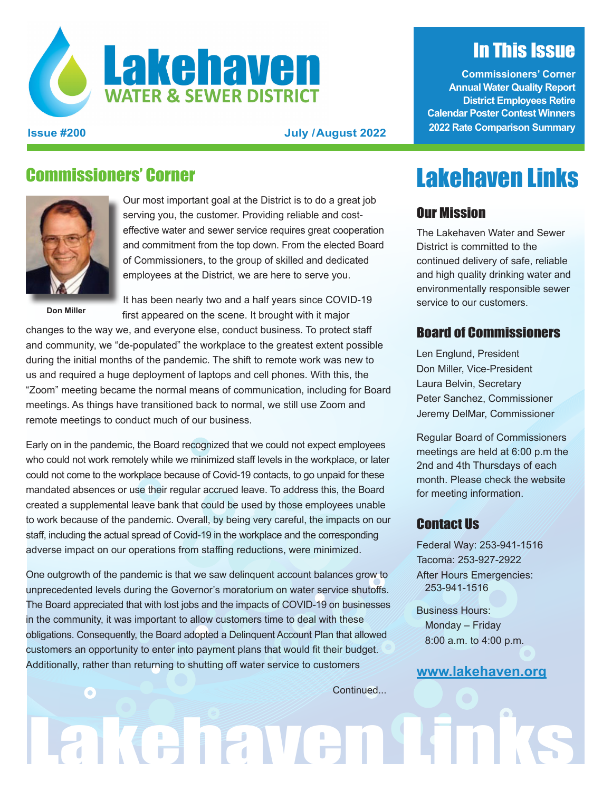

#### **Issue #200 July /August 2022**

### Commissioners' Corner



Our most important goal at the District is to do a great job serving you, the customer. Providing reliable and costeffective water and sewer service requires great cooperation and commitment from the top down. From the elected Board of Commissioners, to the group of skilled and dedicated employees at the District, we are here to serve you.

**Don Miller**

It has been nearly two and a half years since COVID-19 first appeared on the scene. It brought with it major

changes to the way we, and everyone else, conduct business. To protect staff and community, we "de-populated" the workplace to the greatest extent possible during the initial months of the pandemic. The shift to remote work was new to us and required a huge deployment of laptops and cell phones. With this, the "Zoom" meeting became the normal means of communication, including for Board meetings. As things have transitioned back to normal, we still use Zoom and remote meetings to conduct much of our business.

Early on in the pandemic, the Board recognized that we could not expect employees who could not work remotely while we minimized staff levels in the workplace, or later could not come to the workplace because of Covid-19 contacts, to go unpaid for these mandated absences or use their regular accrued leave. To address this, the Board created a supplemental leave bank that could be used by those employees unable to work because of the pandemic. Overall, by being very careful, the impacts on our staff, including the actual spread of Covid-19 in the workplace and the corresponding adverse impact on our operations from staffing reductions, were minimized.

One outgrowth of the pandemic is that we saw delinquent account balances grow to unprecedented levels during the Governor's moratorium on water service shutoffs. The Board appreciated that with lost jobs and the impacts of COVID-19 on businesses in the community, it was important to allow customers time to deal with these obligations. Consequently, the Board adopted a Delinquent Account Plan that allowed customers an opportunity to enter into payment plans that would fit their budget. Additionally, rather than returning to shutting off water service to customers

In This Issue

**Commissioners' Corner Annual Water Quality Report District Employees Retire Calendar Poster Contest Winners 2022 Rate Comparison Summary**

# Lakehaven Links

#### Our Mission

The Lakehaven Water and Sewer District is committed to the continued delivery of safe, reliable and high quality drinking water and environmentally responsible sewer service to our customers.

#### Board of Commissioners

Len Englund, President Don Miller, Vice-President Laura Belvin, Secretary Peter Sanchez, Commissioner Jeremy DelMar, Commissioner

Regular Board of Commissioners meetings are held at 6:00 p.m the 2nd and 4th Thursdays of each month. Please check the website for meeting information.

#### Contact Us

Federal Way: 253-941-1516 Tacoma: 253-927-2922 After Hours Emergencies: 253-941-1516

Business Hours: Monday – Friday 8:00 a.m. to 4:00 p.m.

#### **[www.lakehaven.org](http://www.lakehaven.org)**

Continued...

Lakehaven Tin